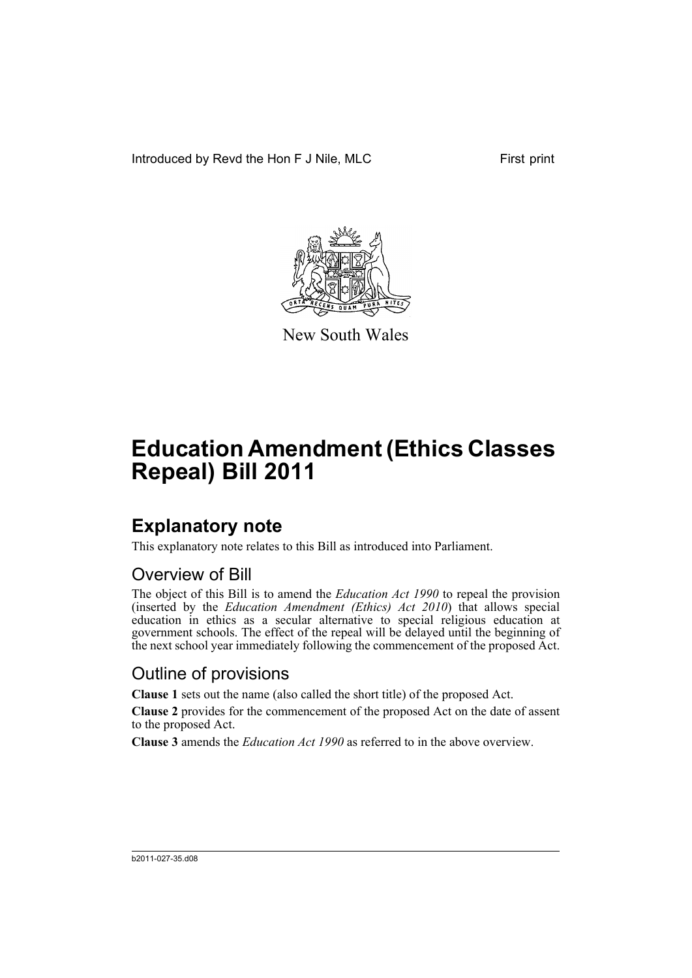Introduced by Revd the Hon F J Nile, MLC First print



New South Wales

# **Education Amendment (Ethics Classes Repeal) Bill 2011**

### **Explanatory note**

This explanatory note relates to this Bill as introduced into Parliament.

#### Overview of Bill

The object of this Bill is to amend the *Education Act 1990* to repeal the provision (inserted by the *Education Amendment (Ethics) Act 2010*) that allows special education in ethics as a secular alternative to special religious education at government schools. The effect of the repeal will be delayed until the beginning of the next school year immediately following the commencement of the proposed Act.

#### Outline of provisions

**Clause 1** sets out the name (also called the short title) of the proposed Act.

**Clause 2** provides for the commencement of the proposed Act on the date of assent to the proposed Act.

**Clause 3** amends the *Education Act 1990* as referred to in the above overview.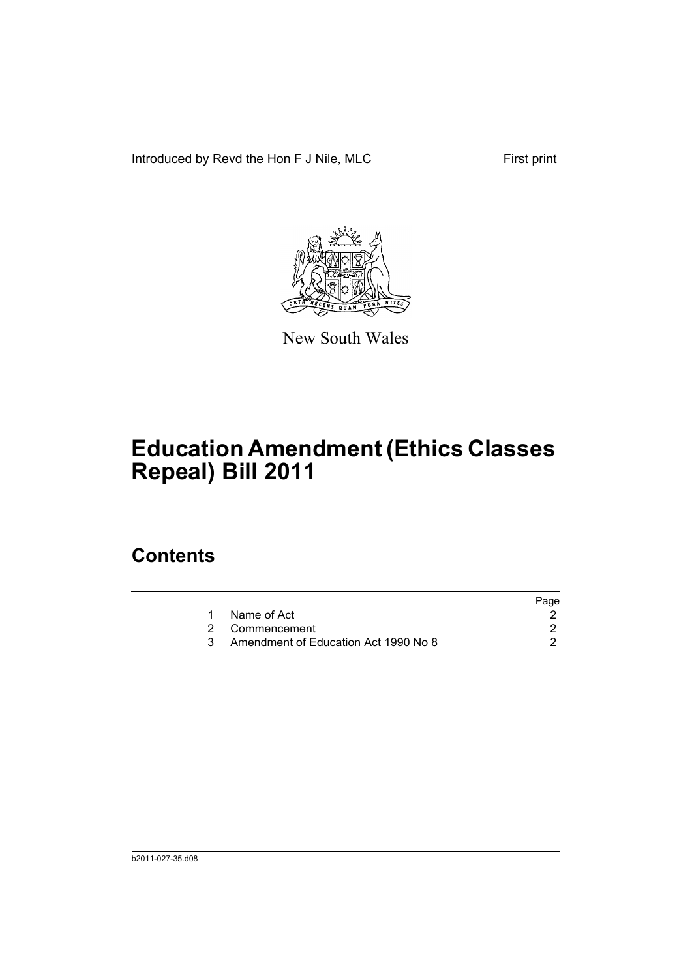Introduced by Revd the Hon F J Nile, MLC First print



New South Wales

# **Education Amendment (Ethics Classes Repeal) Bill 2011**

### **Contents**

|                                      | Page |
|--------------------------------------|------|
| Name of Act                          |      |
| 2 Commencement                       |      |
| Amendment of Education Act 1990 No 8 |      |
|                                      |      |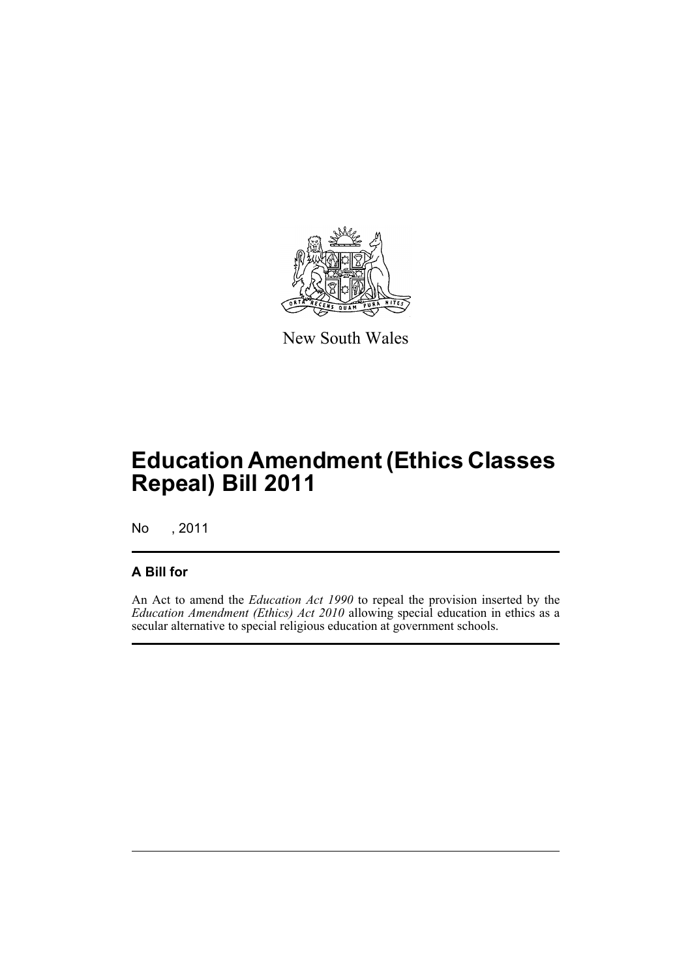

New South Wales

## **Education Amendment (Ethics Classes Repeal) Bill 2011**

No , 2011

#### **A Bill for**

An Act to amend the *Education Act 1990* to repeal the provision inserted by the *Education Amendment (Ethics) Act 2010* allowing special education in ethics as a secular alternative to special religious education at government schools.